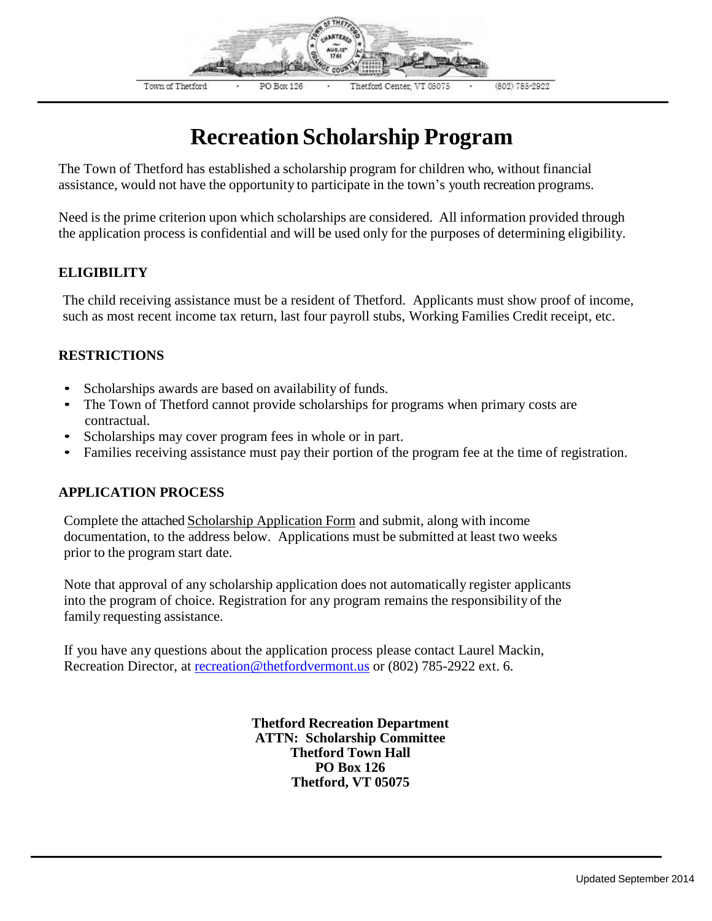

## **Recreation Scholarship Program**

The Town of Thetford has established a scholarship program for children who, without financial assistance, would not have the opportunity to participate in the town's youth recreation programs.

Need is the prime criterion upon which scholarships are considered. All information provided through the application process is confidential and will be used only for the purposes of determining eligibility.

## **ELIGIBILITY**

The child receiving assistance must be a resident of Thetford. Applicants must show proof of income, such as most recent income tax return, last four payroll stubs, Working Families Credit receipt, etc.

## **RESTRICTIONS**

- Scholarships awards are based on availability of funds.
- The Town of Thetford cannot provide scholarships for programs when primary costs are contractual.
- Scholarships may cover program fees in whole or in part.
- Families receiving assistance must pay their portion of the program fee at the time of registration.

## **APPLICATION PROCESS**

Complete the attached Scholarship Application Form and submit, along with income documentation, to the address below. Applications must be submitted at least two weeks prior to the program start date.

Note that approval of any scholarship application does not automatically register applicants into the program of choice. Registration for any program remains the responsibility of the family requesting assistance.

If you have any questions about the application process please contact Laurel Mackin, Recreation Director, at [recreation@thetfordvermont.us](mailto:recreation@thetfordvermont.us) or (802) 785-2922 ext. 6.

> **Thetford Recreation Department ATTN: Scholarship Committee Thetford Town Hall PO Box 126 Thetford, VT 05075**